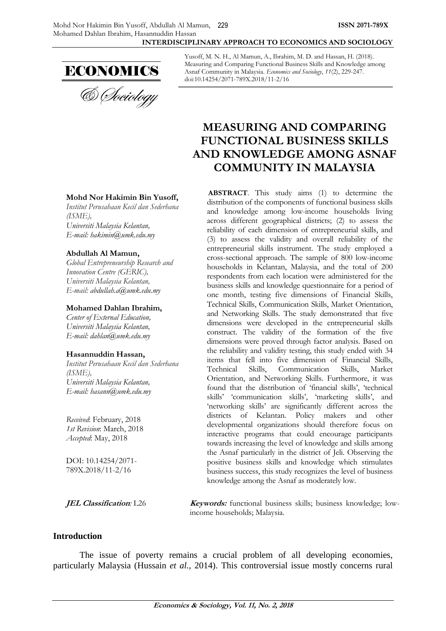#### **INTERDISCIPLINARY APPROACH TO ECONOMICS AND SOCIOLOGY**



**Mohd Nor Hakimin Bin Yusoff,** *Institut Perusahaan Kecil dan Sederhana*

*Global Entrepreneurship Research and* 

*Universiti Malaysia Kelantan, E-mail: [hakimin@umk.edu.my](mailto:hakimin@umk.edu.my)*

**Abdullah Al Mamun,**

*Innovation Centre (GERIC), Universiti Malaysia Kelantan, E-mail: [abdullah.a@umk.edu.my](mailto:abdullah.a@umk.edu.my)*

**Mohamed Dahlan Ibrahim,** *Center of External Education, Universiti Malaysia Kelantan, E-mail: [dahlan@umk.edu.my](mailto:dahlan@umk.edu.my)*

**Hasannuddin Hassan,**

*Universiti Malaysia Kelantan, E-mail: [hasann@umk.edu.my](mailto:hasann@umk.edu.my)*

*Received*: February, 2018 *1st Revision*: March, 2018 *Accepted*: May, 2018

DOI: 10.14254/2071- 789X.2018/11-2/16

*(ISME),*

*Institut Perusahaan Kecil dan Sederhana* 

*(ISME),*

Yusoff, M. N. H., Al Mamun, A., Ibrahim, M. D. and Hassan, H. (2018). Measuring and Comparing Functional Business Skills and Knowledge among Asnaf Community in Malaysia. *Economics and Sociology*, *11*(2), 229-247. doi:10.14254/2071-789X.2018/11-2/16

# **MEASURING AND COMPARING FUNCTIONAL BUSINESS SKILLS AND KNOWLEDGE AMONG ASNAF COMMUNITY IN MALAYSIA**

**ABSTRACT**. This study aims (1) to determine the distribution of the components of functional business skills and knowledge among low-income households living across different geographical districts; (2) to assess the reliability of each dimension of entrepreneurial skills, and (3) to assess the validity and overall reliability of the entrepreneurial skills instrument. The study employed a cross-sectional approach. The sample of 800 low-income households in Kelantan, Malaysia, and the total of 200 respondents from each location were administered for the business skills and knowledge questionnaire for a period of one month, testing five dimensions of Financial Skills, Technical Skills, Communication Skills, Market Orientation, and Networking Skills. The study demonstrated that five dimensions were developed in the entrepreneurial skills construct. The validity of the formation of the five dimensions were proved through factor analysis. Based on the reliability and validity testing, this study ended with 34 items that fell into five dimension of Financial Skills, Technical Skills, Communication Skills, Market Orientation, and Networking Skills. Furthermore, it was found that the distribution of 'financial skills', 'technical skills' 'communication skills', 'marketing skills', and 'networking skills' are significantly different across the districts of Kelantan. Policy makers and other developmental organizations should therefore focus on interactive programs that could encourage participants towards increasing the level of knowledge and skills among the Asnaf particularly in the district of Jeli. Observing the positive business skills and knowledge which stimulates business success, this study recognizes the level of business knowledge among the Asnaf as moderately low.

**JEL Classification:** L26 **Keywords:** functional business skills; business knowledge; lowincome households; Malaysia.

#### **Introduction**

The issue of poverty remains a crucial problem of all developing economies, particularly Malaysia (Hussain *et al.*, 2014). This controversial issue mostly concerns rural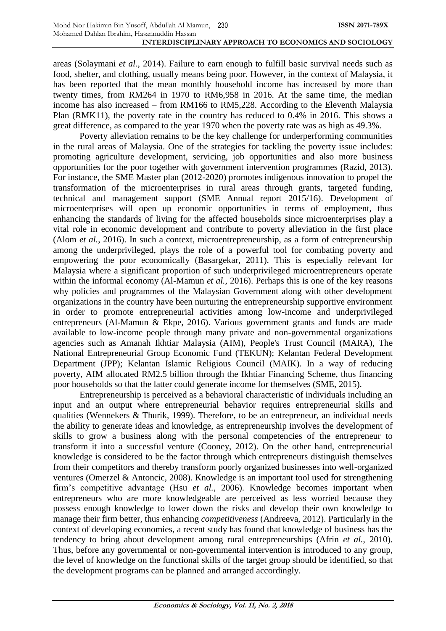areas (Solaymani *et al.*, 2014). Failure to earn enough to fulfill basic survival needs such as food, shelter, and clothing, usually means being poor. However, in the context of Malaysia, it has been reported that the mean monthly household income has increased by more than twenty times, from RM264 in 1970 to RM6,958 in 2016. At the same time, the median income has also increased – from RM166 to RM5,228. According to the Eleventh Malaysia Plan (RMK11), the poverty rate in the country has reduced to 0.4% in 2016. This shows a great difference, as compared to the year 1970 when the poverty rate was as high as 49.3%.

Poverty alleviation remains to be the key challenge for underperforming communities in the rural areas of Malaysia. One of the strategies for tackling the poverty issue includes: promoting agriculture development, servicing, job opportunities and also more business opportunities for the poor together with government intervention programmes (Razid, 2013). For instance, the SME Master plan (2012-2020) promotes indigenous innovation to propel the transformation of the microenterprises in rural areas through grants, targeted funding, technical and management support (SME Annual report 2015/16). Development of microenterprises will open up economic opportunities in terms of employment, thus enhancing the standards of living for the affected households since microenterprises play a vital role in economic development and contribute to poverty alleviation in the first place (Alom *et al.*, 2016). In such a context, microentrepreneurship, as a form of entrepreneurship among the underprivileged, plays the role of a powerful tool for combating poverty and empowering the poor economically (Basargekar, 2011). This is especially relevant for Malaysia where a significant proportion of such underprivileged microentrepreneurs operate within the informal economy (Al-Mamun *et al.*, 2016). Perhaps this is one of the key reasons why policies and programmes of the Malaysian Government along with other development organizations in the country have been nurturing the entrepreneurship supportive environment in order to promote entrepreneurial activities among low-income and underprivileged entrepreneurs (Al-Mamun & Ekpe, 2016). Various government grants and funds are made available to low-income people through many private and non-governmental organizations agencies such as Amanah Ikhtiar Malaysia (AIM), People's Trust Council (MARA), The National Entrepreneurial Group Economic Fund (TEKUN); Kelantan Federal Development Department (JPP); Kelantan Islamic Religious Council (MAIK). In a way of reducing poverty, AIM allocated RM2.5 billion through the Ikhtiar Financing Scheme, thus financing poor households so that the latter could generate income for themselves (SME, 2015).

Entrepreneurship is perceived as a behavioral characteristic of individuals including an input and an output where entrepreneurial behavior requires entrepreneurial skills and qualities (Wennekers & Thurik, 1999). Therefore, to be an entrepreneur, an individual needs the ability to generate ideas and knowledge, as entrepreneurship involves the development of skills to grow a business along with the personal competencies of the entrepreneur to transform it into a successful venture (Cooney, 2012). On the other hand, entrepreneurial knowledge is considered to be the factor through which entrepreneurs distinguish themselves from their competitors and thereby transform poorly organized businesses into well-organized ventures (Omerzel & Antoncic, 2008). Knowledge is an important tool used for strengthening firm's competitive advantage (Hsu *et al.*, 2006). Knowledge becomes important when entrepreneurs who are more knowledgeable are perceived as less worried because they possess enough knowledge to lower down the risks and develop their own knowledge to manage their firm better, thus enhancing *competitiveness* (Andreeva, 2012). Particularly in the context of developing economies, a recent study has found that knowledge of business has the tendency to bring about development among rural entrepreneurships (Afrin *et al.*, 2010). Thus, before any governmental or non-governmental intervention is introduced to any group, the level of knowledge on the functional skills of the target group should be identified, so that the development programs can be planned and arranged accordingly.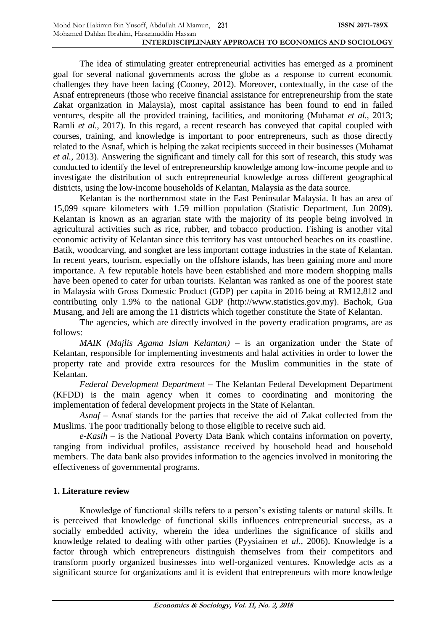The idea of stimulating greater entrepreneurial activities has emerged as a prominent goal for several national governments across the globe as a response to current economic challenges they have been facing (Cooney, 2012). Moreover, contextually, in the case of the Asnaf entrepreneurs (those who receive financial assistance for entrepreneurship from the state Zakat organization in Malaysia), most capital assistance has been found to end in failed ventures, despite all the provided training, facilities, and monitoring (Muhamat *et al.*, 2013; Ramli *et al.*, 2017). In this regard, a recent research has conveyed that capital coupled with courses, training, and knowledge is important to poor entrepreneurs, such as those directly related to the Asnaf, which is helping the zakat recipients succeed in their businesses (Muhamat *et al.*, 2013). Answering the significant and timely call for this sort of research, this study was conducted to identify the level of entrepreneurship knowledge among low-income people and to investigate the distribution of such entrepreneurial knowledge across different geographical districts, using the low-income households of Kelantan, Malaysia as the data source.

Kelantan is the northernmost state in the East Peninsular Malaysia. It has an area of 15,099 square kilometers with 1.59 million population (Statistic Department, Jun 2009). Kelantan is known as an agrarian state with the majority of its people being involved in agricultural activities such as rice, rubber, and tobacco production. Fishing is another vital economic activity of Kelantan since this territory has vast untouched beaches on its coastline. Batik, woodcarving, and songket are less important cottage industries in the state of Kelantan. In recent years, tourism, especially on the offshore islands, has been gaining more and more importance. A few reputable hotels have been established and more modern shopping malls have been opened to cater for urban tourists. Kelantan was ranked as one of the poorest state in Malaysia with Gross Domestic Product (GDP) per capita in 2016 being at RM12,812 and contributing only 1.9% to the national GDP (http://www.statistics.gov.my). Bachok, Gua Musang, and Jeli are among the 11 districts which together constitute the State of Kelantan.

The agencies, which are directly involved in the poverty eradication programs, are as follows:

*MAIK (Majlis Agama Islam Kelantan) –* is an organization under the State of Kelantan, responsible for implementing investments and halal activities in order to lower the property rate and provide extra resources for the Muslim communities in the state of Kelantan.

*Federal Development Department –* The Kelantan Federal Development Department (KFDD) is the main agency when it comes to coordinating and monitoring the implementation of federal development projects in the State of Kelantan.

*Asnaf –* Asnaf stands for the parties that receive the aid of Zakat collected from the Muslims. The poor traditionally belong to those eligible to receive such aid.

*e-Kasih –* is the National Poverty Data Bank which contains information on poverty, ranging from individual profiles, assistance received by household head and household members. The data bank also provides information to the agencies involved in monitoring the effectiveness of governmental programs.

# **1. Literature review**

Knowledge of functional skills refers to a person's existing talents or natural skills. It is perceived that knowledge of functional skills influences entrepreneurial success, as a socially embedded activity, wherein the idea underlines the significance of skills and knowledge related to dealing with other parties (Pyysiainen *et al.*, 2006). Knowledge is a factor through which entrepreneurs distinguish themselves from their competitors and transform poorly organized businesses into well-organized ventures. Knowledge acts as a significant source for organizations and it is evident that entrepreneurs with more knowledge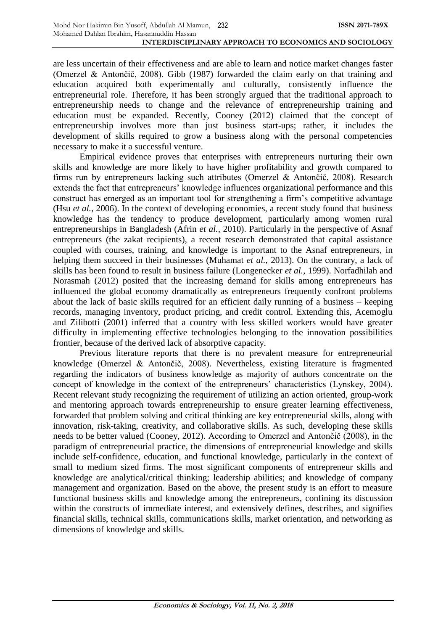are less uncertain of their effectiveness and are able to learn and notice market changes faster (Omerzel & Antončič, 2008). Gibb (1987) forwarded the claim early on that training and education acquired both experimentally and culturally, consistently influence the entrepreneurial role. Therefore, it has been strongly argued that the traditional approach to entrepreneurship needs to change and the relevance of entrepreneurship training and education must be expanded. Recently, Cooney (2012) claimed that the concept of entrepreneurship involves more than just business start-ups; rather, it includes the development of skills required to grow a business along with the personal competencies necessary to make it a successful venture.

Empirical evidence proves that enterprises with entrepreneurs nurturing their own skills and knowledge are more likely to have higher profitability and growth compared to firms run by entrepreneurs lacking such attributes (Omerzel & Antončič, 2008). Research extends the fact that entrepreneurs' knowledge influences organizational performance and this construct has emerged as an important tool for strengthening a firm's competitive advantage (Hsu *et al.*, 2006). In the context of developing economies, a recent study found that business knowledge has the tendency to produce development, particularly among women rural entrepreneurships in Bangladesh (Afrin *et al.*, 2010). Particularly in the perspective of Asnaf entrepreneurs (the zakat recipients), a recent research demonstrated that capital assistance coupled with courses, training, and knowledge is important to the Asnaf entrepreneurs, in helping them succeed in their businesses (Muhamat *et al.*, 2013). On the contrary, a lack of skills has been found to result in business failure (Longenecker *et al.*, 1999). Norfadhilah and Norasmah (2012) posited that the increasing demand for skills among entrepreneurs has influenced the global economy dramatically as entrepreneurs frequently confront problems about the lack of basic skills required for an efficient daily running of a business – keeping records, managing inventory, product pricing, and credit control. Extending this, Acemoglu and Zilibotti (2001) inferred that a country with less skilled workers would have greater difficulty in implementing effective technologies belonging to the innovation possibilities frontier, because of the derived lack of absorptive capacity.

Previous literature reports that there is no prevalent measure for entrepreneurial knowledge (Omerzel & Antončič, 2008). Nevertheless, existing literature is fragmented regarding the indicators of business knowledge as majority of authors concentrate on the concept of knowledge in the context of the entrepreneurs' characteristics (Lynskey, 2004). Recent relevant study recognizing the requirement of utilizing an action oriented, group-work and mentoring approach towards entrepreneurship to ensure greater learning effectiveness, forwarded that problem solving and critical thinking are key entrepreneurial skills, along with innovation, risk-taking, creativity, and collaborative skills. As such, developing these skills needs to be better valued (Cooney, 2012). According to Omerzel and Antončič (2008), in the paradigm of entrepreneurial practice, the dimensions of entrepreneurial knowledge and skills include self-confidence, education, and functional knowledge, particularly in the context of small to medium sized firms. The most significant components of entrepreneur skills and knowledge are analytical/critical thinking; leadership abilities; and knowledge of company management and organization. Based on the above, the present study is an effort to measure functional business skills and knowledge among the entrepreneurs, confining its discussion within the constructs of immediate interest, and extensively defines, describes, and signifies financial skills, technical skills, communications skills, market orientation, and networking as dimensions of knowledge and skills.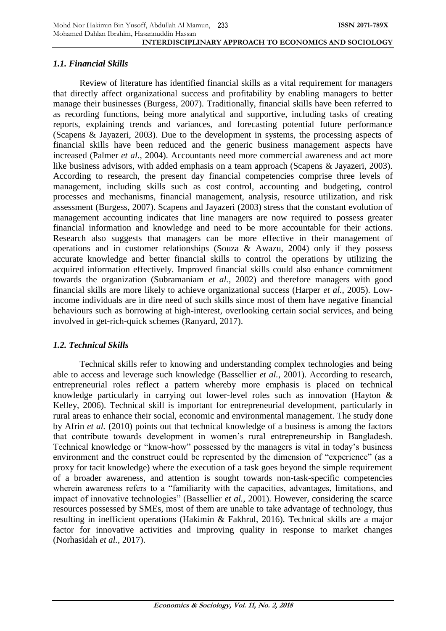# *1.1. Financial Skills*

Review of literature has identified financial skills as a vital requirement for managers that directly affect organizational success and profitability by enabling managers to better manage their businesses (Burgess, 2007). Traditionally, financial skills have been referred to as recording functions, being more analytical and supportive, including tasks of creating reports, explaining trends and variances, and forecasting potential future performance (Scapens & Jayazeri, 2003). Due to the development in systems, the processing aspects of financial skills have been reduced and the generic business management aspects have increased (Palmer *et al.*, 2004). Accountants need more commercial awareness and act more like business advisors, with added emphasis on a team approach (Scapens & Jayazeri, 2003). According to research, the present day financial competencies comprise three levels of management, including skills such as cost control, accounting and budgeting, control processes and mechanisms, financial management, analysis, resource utilization, and risk assessment (Burgess, 2007). Scapens and Jayazeri (2003) stress that the constant evolution of management accounting indicates that line managers are now required to possess greater financial information and knowledge and need to be more accountable for their actions. Research also suggests that managers can be more effective in their management of operations and in customer relationships (Souza & Awazu, 2004) only if they possess accurate knowledge and better financial skills to control the operations by utilizing the acquired information effectively. Improved financial skills could also enhance commitment towards the organization (Subramaniam *et al.*, 2002) and therefore managers with good financial skills are more likely to achieve organizational success (Harper *et al.*, 2005). Lowincome individuals are in dire need of such skills since most of them have negative financial behaviours such as borrowing at high-interest, overlooking certain social services, and being involved in get-rich-quick schemes (Ranyard, 2017).

# *1.2. Technical Skills*

Technical skills refer to knowing and understanding complex technologies and being able to access and leverage such knowledge (Bassellier *et al.*, 2001). According to research, entrepreneurial roles reflect a pattern whereby more emphasis is placed on technical knowledge particularly in carrying out lower-level roles such as innovation (Hayton & Kelley, 2006). Technical skill is important for entrepreneurial development, particularly in rural areas to enhance their social, economic and environmental management. The study done by Afrin *et al.* (2010) points out that technical knowledge of a business is among the factors that contribute towards development in women's rural entrepreneurship in Bangladesh. Technical knowledge or "know-how" possessed by the managers is vital in today's business environment and the construct could be represented by the dimension of "experience" (as a proxy for tacit knowledge) where the execution of a task goes beyond the simple requirement of a broader awareness, and attention is sought towards non-task-specific competencies wherein awareness refers to a "familiarity with the capacities, advantages, limitations, and impact of innovative technologies" (Bassellier *et al.*, 2001). However, considering the scarce resources possessed by SMEs, most of them are unable to take advantage of technology, thus resulting in inefficient operations (Hakimin & Fakhrul, 2016). Technical skills are a major factor for innovative activities and improving quality in response to market changes (Norhasidah *et al.*, 2017).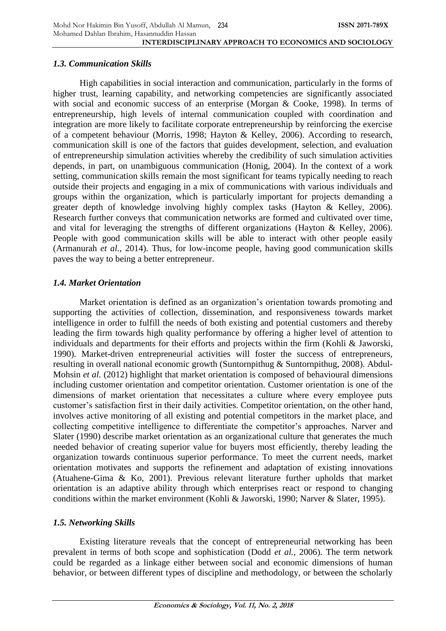## *1.3. Communication Skills*

High capabilities in social interaction and communication, particularly in the forms of higher trust, learning capability, and networking competencies are significantly associated with social and economic success of an enterprise (Morgan & Cooke, 1998). In terms of entrepreneurship, high levels of internal communication coupled with coordination and integration are more likely to facilitate corporate entrepreneurship by reinforcing the exercise of a competent behaviour (Morris, 1998; Hayton & Kelley, 2006). According to research, communication skill is one of the factors that guides development, selection, and evaluation of entrepreneurship simulation activities whereby the credibility of such simulation activities depends, in part, on unambiguous communication (Honig, 2004). In the context of a work setting, communication skills remain the most significant for teams typically needing to reach outside their projects and engaging in a mix of communications with various individuals and groups within the organization, which is particularly important for projects demanding a greater depth of knowledge involving highly complex tasks (Hayton & Kelley, 2006). Research further conveys that communication networks are formed and cultivated over time, and vital for leveraging the strengths of different organizations (Hayton & Kelley, 2006). People with good communication skills will be able to interact with other people easily (Armanurah *et al.*, 2014). Thus, for low-income people, having good communication skills paves the way to being a better entrepreneur.

# *1.4. Market Orientation*

Market orientation is defined as an organization's orientation towards promoting and supporting the activities of collection, dissemination, and responsiveness towards market intelligence in order to fulfill the needs of both existing and potential customers and thereby leading the firm towards high quality performance by offering a higher level of attention to individuals and departments for their efforts and projects within the firm (Kohli & Jaworski, 1990). Market-driven entrepreneurial activities will foster the success of entrepreneurs, resulting in overall national economic growth (Suntornpithug & Suntornpithug, 2008). Abdul-Mohsin *et al.* (2012) highlight that market orientation is composed of behavioural dimensions including customer orientation and competitor orientation. Customer orientation is one of the dimensions of market orientation that necessitates a culture where every employee puts customer's satisfaction first in their daily activities. Competitor orientation, on the other hand, involves active monitoring of all existing and potential competitors in the market place, and collecting competitive intelligence to differentiate the competitor's approaches. Narver and Slater (1990) describe market orientation as an organizational culture that generates the much needed behavior of creating superior value for buyers most efficiently, thereby leading the organization towards continuous superior performance. To meet the current needs, market orientation motivates and supports the refinement and adaptation of existing innovations (Atuahene-Gima & Ko, 2001). Previous relevant literature further upholds that market orientation is an adaptive ability through which enterprises react or respond to changing conditions within the market environment (Kohli & Jaworski, 1990; Narver & Slater, 1995).

# *1.5. Networking Skills*

Existing literature reveals that the concept of entrepreneurial networking has been prevalent in terms of both scope and sophistication (Dodd *et al.*, 2006). The term network could be regarded as a linkage either between social and economic dimensions of human behavior, or between different types of discipline and methodology, or between the scholarly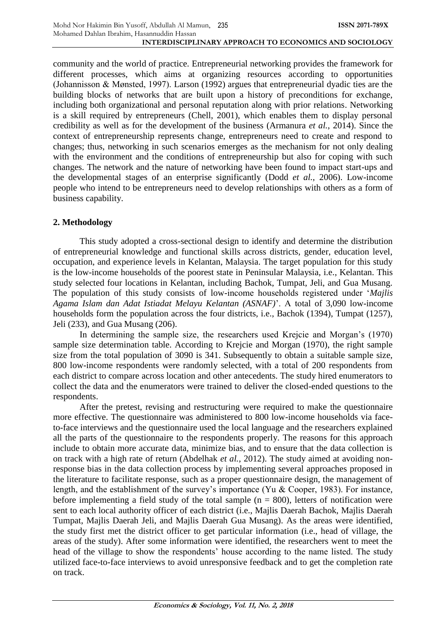community and the world of practice. Entrepreneurial networking provides the framework for different processes, which aims at organizing resources according to opportunities (Johannisson & Mønsted, 1997). Larson (1992) argues that entrepreneurial dyadic ties are the building blocks of networks that are built upon a history of preconditions for exchange, including both organizational and personal reputation along with prior relations. Networking is a skill required by entrepreneurs (Chell, 2001), which enables them to display personal credibility as well as for the development of the business (Armanura *et al.*, 2014). Since the context of entrepreneurship represents change, entrepreneurs need to create and respond to changes; thus, networking in such scenarios emerges as the mechanism for not only dealing with the environment and the conditions of entrepreneurship but also for coping with such changes. The network and the nature of networking have been found to impact start-ups and the developmental stages of an enterprise significantly (Dodd *et al.*, 2006). Low-income people who intend to be entrepreneurs need to develop relationships with others as a form of business capability.

## **2. Methodology**

This study adopted a cross-sectional design to identify and determine the distribution of entrepreneurial knowledge and functional skills across districts, gender, education level, occupation, and experience levels in Kelantan, Malaysia. The target population for this study is the low-income households of the poorest state in Peninsular Malaysia, i.e., Kelantan. This study selected four locations in Kelantan, including Bachok, Tumpat, Jeli, and Gua Musang. The population of this study consists of low-income households registered under '*Majlis Agama Islam dan Adat Istiadat Melayu Kelantan (ASNAF)*'. A total of 3,090 low-income households form the population across the four districts, i.e., Bachok (1394), Tumpat (1257), Jeli (233), and Gua Musang (206).

In determining the sample size, the researchers used Krejcie and Morgan's (1970) sample size determination table. According to Krejcie and Morgan (1970), the right sample size from the total population of 3090 is 341. Subsequently to obtain a suitable sample size, 800 low-income respondents were randomly selected, with a total of 200 respondents from each district to compare across location and other antecedents. The study hired enumerators to collect the data and the enumerators were trained to deliver the closed-ended questions to the respondents.

After the pretest, revising and restructuring were required to make the questionnaire more effective. The questionnaire was administered to 800 low-income households via faceto-face interviews and the questionnaire used the local language and the researchers explained all the parts of the questionnaire to the respondents properly. The reasons for this approach include to obtain more accurate data, minimize bias, and to ensure that the data collection is on track with a high rate of return (Abdelhak *et al.*, 2012). The study aimed at avoiding nonresponse bias in the data collection process by implementing several approaches proposed in the literature to facilitate response, such as a proper questionnaire design, the management of length, and the establishment of the survey's importance (Yu & Cooper, 1983). For instance, before implementing a field study of the total sample  $(n = 800)$ , letters of notification were sent to each local authority officer of each district (i.e., Majlis Daerah Bachok, Majlis Daerah Tumpat, Majlis Daerah Jeli, and Majlis Daerah Gua Musang). As the areas were identified, the study first met the district officer to get particular information (i.e., head of village, the areas of the study). After some information were identified, the researchers went to meet the head of the village to show the respondents' house according to the name listed. The study utilized face-to-face interviews to avoid unresponsive feedback and to get the completion rate on track.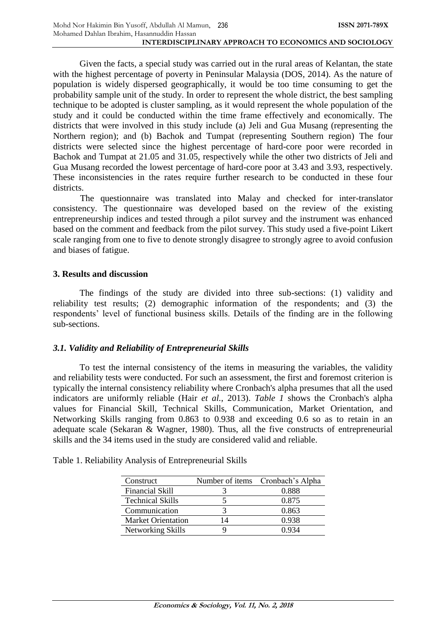Given the facts, a special study was carried out in the rural areas of Kelantan, the state with the highest percentage of poverty in Peninsular Malaysia (DOS, 2014). As the nature of population is widely dispersed geographically, it would be too time consuming to get the probability sample unit of the study. In order to represent the whole district, the best sampling technique to be adopted is cluster sampling, as it would represent the whole population of the study and it could be conducted within the time frame effectively and economically. The districts that were involved in this study include (a) Jeli and Gua Musang (representing the Northern region); and (b) Bachok and Tumpat (representing Southern region) The four districts were selected since the highest percentage of hard-core poor were recorded in Bachok and Tumpat at 21.05 and 31.05, respectively while the other two districts of Jeli and Gua Musang recorded the lowest percentage of hard-core poor at 3.43 and 3.93, respectively. These inconsistencies in the rates require further research to be conducted in these four districts.

The questionnaire was translated into Malay and checked for inter-translator consistency. The questionnaire was developed based on the review of the existing entrepreneurship indices and tested through a pilot survey and the instrument was enhanced based on the comment and feedback from the pilot survey. This study used a five-point Likert scale ranging from one to five to denote strongly disagree to strongly agree to avoid confusion and biases of fatigue.

## **3. Results and discussion**

The findings of the study are divided into three sub-sections: (1) validity and reliability test results; (2) demographic information of the respondents; and (3) the respondents' level of functional business skills. Details of the finding are in the following sub-sections.

### *3.1. Validity and Reliability of Entrepreneurial Skills*

To test the internal consistency of the items in measuring the variables, the validity and reliability tests were conducted. For such an assessment, the first and foremost criterion is typically the internal consistency reliability where Cronbach's alpha presumes that all the used indicators are uniformly reliable (Hair *et al.*, 2013). *Table 1* shows the Cronbach's alpha values for Financial Skill, Technical Skills, Communication, Market Orientation, and Networking Skills ranging from 0.863 to 0.938 and exceeding 0.6 so as to retain in an adequate scale (Sekaran & Wagner, 1980). Thus, all the five constructs of entrepreneurial skills and the 34 items used in the study are considered valid and reliable.

| Construct                 |    | Number of items Cronbach's Alpha |
|---------------------------|----|----------------------------------|
| Financial Skill           |    | 0.888                            |
| <b>Technical Skills</b>   |    | 0.875                            |
| Communication             |    | 0.863                            |
| <b>Market Orientation</b> | 14 | 0.938                            |
| Networking Skills         |    |                                  |

Table 1. Reliability Analysis of Entrepreneurial Skills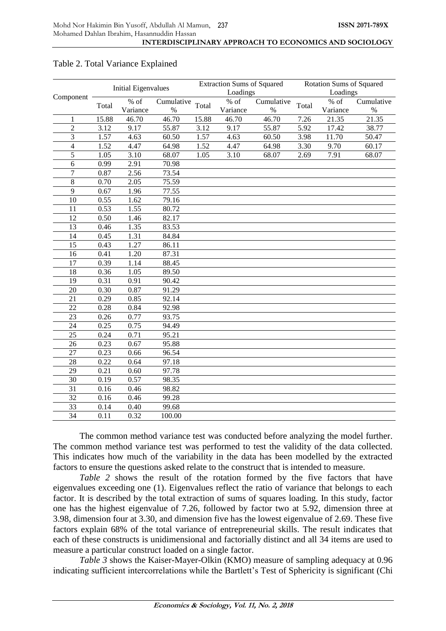|                             |       | <b>Initial Eigenvalues</b> |            |          | <b>Extraction Sums of Squared</b> |                    |          | <b>Rotation Sums of Squared</b> |                    |
|-----------------------------|-------|----------------------------|------------|----------|-----------------------------------|--------------------|----------|---------------------------------|--------------------|
| Component                   |       |                            |            | Loadings |                                   |                    | Loadings |                                 |                    |
|                             | Total | % of                       | Cumulative | Total    | $%$ of                            | Cumulative         | Total    | $%$ of                          | Cumulative         |
|                             |       | Variance                   | $\%$       |          | Variance                          | $\%$               |          | Variance                        | $\%$               |
| $\mathbf{1}$                | 15.88 | 46.70                      | 46.70      | 15.88    | 46.70                             | 46.70              | 7.26     | 21.35                           | 21.35              |
| $\overline{2}$              | 3.12  | 9.17                       | 55.87      | 3.12     | 9.17                              | $\overline{5}5.87$ | 5.92     | 17.42                           | 38.77              |
| $\ensuremath{\mathfrak{Z}}$ | 1.57  | 4.63                       | 60.50      | 1.57     | 4.63                              | 60.50              | 3.98     | 11.70                           | 50.47              |
| $\overline{4}$              | 1.52  | 4.47                       | 64.98      | 1.52     | 4.47                              | 64.98              | 3.30     | 9.70                            | $\overline{60.17}$ |
| 5                           | 1.05  | 3.10                       | 68.07      | 1.05     | 3.10                              | 68.07              | 2.69     | 7.91                            | 68.07              |
| 6                           | 0.99  | 2.91                       | 70.98      |          |                                   |                    |          |                                 |                    |
| $\tau$                      | 0.87  | 2.56                       | 73.54      |          |                                   |                    |          |                                 |                    |
| $\,8\,$                     | 0.70  | 2.05                       | 75.59      |          |                                   |                    |          |                                 |                    |
| $\overline{9}$              | 0.67  | 1.96                       | 77.55      |          |                                   |                    |          |                                 |                    |
| 10                          | 0.55  | 1.62                       | 79.16      |          |                                   |                    |          |                                 |                    |
| 11                          | 0.53  | 1.55                       | 80.72      |          |                                   |                    |          |                                 |                    |
| 12                          | 0.50  | 1.46                       | 82.17      |          |                                   |                    |          |                                 |                    |
| 13                          | 0.46  | 1.35                       | 83.53      |          |                                   |                    |          |                                 |                    |
| 14                          | 0.45  | 1.31                       | 84.84      |          |                                   |                    |          |                                 |                    |
| 15                          | 0.43  | 1.27                       | 86.11      |          |                                   |                    |          |                                 |                    |
| 16                          | 0.41  | 1.20                       | 87.31      |          |                                   |                    |          |                                 |                    |
| 17                          | 0.39  | 1.14                       | 88.45      |          |                                   |                    |          |                                 |                    |
| 18                          | 0.36  | 1.05                       | 89.50      |          |                                   |                    |          |                                 |                    |
| 19                          | 0.31  | 0.91                       | 90.42      |          |                                   |                    |          |                                 |                    |
| 20                          | 0.30  | 0.87                       | 91.29      |          |                                   |                    |          |                                 |                    |
| 21                          | 0.29  | 0.85                       | 92.14      |          |                                   |                    |          |                                 |                    |
| 22                          | 0.28  | 0.84                       | 92.98      |          |                                   |                    |          |                                 |                    |
| 23                          | 0.26  | 0.77                       | 93.75      |          |                                   |                    |          |                                 |                    |
| 24                          | 0.25  | 0.75                       | 94.49      |          |                                   |                    |          |                                 |                    |
| 25                          | 0.24  | 0.71                       | 95.21      |          |                                   |                    |          |                                 |                    |
| 26                          | 0.23  | 0.67                       | 95.88      |          |                                   |                    |          |                                 |                    |
| 27                          | 0.23  | 0.66                       | 96.54      |          |                                   |                    |          |                                 |                    |
| 28                          | 0.22  | 0.64                       | 97.18      |          |                                   |                    |          |                                 |                    |
| 29                          | 0.21  | 0.60                       | 97.78      |          |                                   |                    |          |                                 |                    |
| 30                          | 0.19  | 0.57                       | 98.35      |          |                                   |                    |          |                                 |                    |
| 31                          | 0.16  | 0.46                       | 98.82      |          |                                   |                    |          |                                 |                    |
| $\overline{32}$             | 0.16  | 0.46                       | 99.28      |          |                                   |                    |          |                                 |                    |
| 33                          | 0.14  | 0.40                       | 99.68      |          |                                   |                    |          |                                 |                    |
| 34                          | 0.11  | 0.32                       | 100.00     |          |                                   |                    |          |                                 |                    |
|                             |       |                            |            |          |                                   |                    |          |                                 |                    |

### Table 2. Total Variance Explained

The common method variance test was conducted before analyzing the model further. The common method variance test was performed to test the validity of the data collected. This indicates how much of the variability in the data has been modelled by the extracted factors to ensure the questions asked relate to the construct that is intended to measure.

*Table 2* shows the result of the rotation formed by the five factors that have eigenvalues exceeding one (1). Eigenvalues reflect the ratio of variance that belongs to each factor. It is described by the total extraction of sums of squares loading. In this study, factor one has the highest eigenvalue of 7.26, followed by factor two at 5.92, dimension three at 3.98, dimension four at 3.30, and dimension five has the lowest eigenvalue of 2.69. These five factors explain 68% of the total variance of entrepreneurial skills. The result indicates that each of these constructs is unidimensional and factorially distinct and all 34 items are used to measure a particular construct loaded on a single factor.

*Table 3* shows the Kaiser-Mayer-Olkin (KMO) measure of sampling adequacy at 0.96 indicating sufficient intercorrelations while the Bartlett's Test of Sphericity is significant (Chi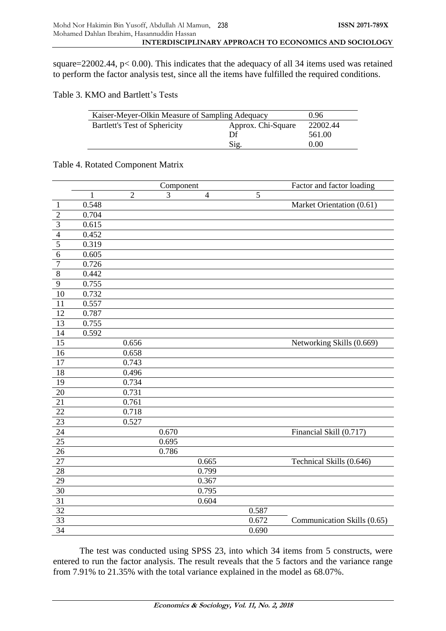square=22002.44, p< 0.00). This indicates that the adequacy of all 34 items used was retained to perform the factor analysis test, since all the items have fulfilled the required conditions.

Table 3. KMO and Bartlett's Tests

| Kaiser-Meyer-Olkin Measure of Sampling Adequacy | 0.96                           |  |  |
|-------------------------------------------------|--------------------------------|--|--|
| Bartlett's Test of Sphericity                   | Approx. Chi-Square<br>22002.44 |  |  |
|                                                 | Df<br>561.00                   |  |  |
|                                                 | 0.00                           |  |  |

### Table 4. Rotated Component Matrix

|                         |              |                | Component |                |       | Factor and factor loading   |
|-------------------------|--------------|----------------|-----------|----------------|-------|-----------------------------|
|                         | $\mathbf{1}$ | $\overline{2}$ | 3         | $\overline{4}$ | 5     |                             |
| $\mathbf{1}$            | 0.548        |                |           |                |       | Market Orientation (0.61)   |
| $\overline{2}$          | 0.704        |                |           |                |       |                             |
| $\overline{\mathbf{3}}$ | 0.615        |                |           |                |       |                             |
| $\overline{4}$          | 0.452        |                |           |                |       |                             |
| 5                       | 0.319        |                |           |                |       |                             |
| $\overline{6}$          | 0.605        |                |           |                |       |                             |
| $\overline{7}$          | 0.726        |                |           |                |       |                             |
| $\overline{8}$          | 0.442        |                |           |                |       |                             |
| $\overline{9}$          | 0.755        |                |           |                |       |                             |
| 10                      | 0.732        |                |           |                |       |                             |
| 11                      | 0.557        |                |           |                |       |                             |
| $\overline{12}$         | 0.787        |                |           |                |       |                             |
| 13                      | 0.755        |                |           |                |       |                             |
| 14                      | 0.592        |                |           |                |       |                             |
| 15                      |              | 0.656          |           |                |       | Networking Skills (0.669)   |
| $\overline{16}$         |              | 0.658          |           |                |       |                             |
| 17                      |              | 0.743          |           |                |       |                             |
| $\overline{18}$         |              | 0.496          |           |                |       |                             |
| $\overline{19}$         |              | 0.734          |           |                |       |                             |
| $\overline{20}$         |              | 0.731          |           |                |       |                             |
| 21                      |              | 0.761          |           |                |       |                             |
| 22                      |              | 0.718          |           |                |       |                             |
| $\overline{23}$         |              | 0.527          |           |                |       |                             |
| $\overline{24}$         |              |                | 0.670     |                |       | Financial Skill (0.717)     |
| 25                      |              |                | 0.695     |                |       |                             |
| 26                      |              |                | 0.786     |                |       |                             |
| $\overline{27}$         |              |                |           | 0.665          |       | Technical Skills (0.646)    |
| 28                      |              |                |           | 0.799          |       |                             |
| <b>29</b>               |              |                |           | 0.367          |       |                             |
| 30                      |              |                |           | 0.795          |       |                             |
| $\overline{31}$         |              |                |           | 0.604          |       |                             |
| $\overline{32}$         |              |                |           |                | 0.587 |                             |
| 33                      |              |                |           |                | 0.672 | Communication Skills (0.65) |
| 34                      |              |                |           |                | 0.690 |                             |

The test was conducted using SPSS 23, into which 34 items from 5 constructs, were entered to run the factor analysis. The result reveals that the 5 factors and the variance range from 7.91% to 21.35% with the total variance explained in the model as 68.07%.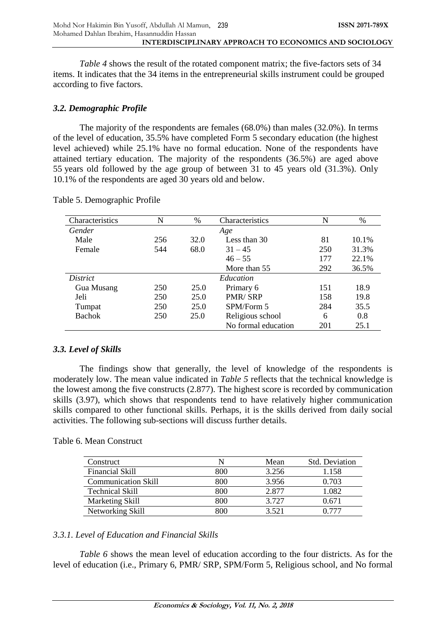*Table 4* shows the result of the rotated component matrix; the five-factors sets of 34 items. It indicates that the 34 items in the entrepreneurial skills instrument could be grouped according to five factors.

## *3.2. Demographic Profile*

The majority of the respondents are females (68.0%) than males (32.0%). In terms of the level of education, 35.5% have completed Form 5 secondary education (the highest level achieved) while 25.1% have no formal education. None of the respondents have attained tertiary education. The majority of the respondents (36.5%) are aged above 55 years old followed by the age group of between 31 to 45 years old (31.3%). Only 10.1% of the respondents are aged 30 years old and below.

| Characteristics | N   | $\%$ | Characteristics     | N   | $\%$  |
|-----------------|-----|------|---------------------|-----|-------|
| Gender          |     |      | Age                 |     |       |
| Male            | 256 | 32.0 | Less than 30        | 81  | 10.1% |
| Female          | 544 | 68.0 | $31 - 45$           | 250 | 31.3% |
|                 |     |      | $46 - 55$           | 177 | 22.1% |
|                 |     |      | More than 55        | 292 | 36.5% |
| <i>District</i> |     |      | Education           |     |       |
| Gua Musang      | 250 | 25.0 | Primary 6           | 151 | 18.9  |
| Jeli            | 250 | 25.0 | <b>PMR/SRP</b>      | 158 | 19.8  |
| Tumpat          | 250 | 25.0 | SPM/Form 5          | 284 | 35.5  |
| <b>Bachok</b>   | 250 | 25.0 | Religious school    | 6   | 0.8   |
|                 |     |      | No formal education | 201 | 25.1  |

### Table 5. Demographic Profile

# *3.3. Level of Skills*

The findings show that generally, the level of knowledge of the respondents is moderately low. The mean value indicated in *Table 5* reflects that the technical knowledge is the lowest among the five constructs (2.877). The highest score is recorded by communication skills (3.97), which shows that respondents tend to have relatively higher communication skills compared to other functional skills. Perhaps, it is the skills derived from daily social activities. The following sub-sections will discuss further details.

### Table 6. Mean Construct

| Construct                  |     | Mean  | Std. Deviation |
|----------------------------|-----|-------|----------------|
| Financial Skill            | 800 | 3.256 | 1.158          |
| <b>Communication Skill</b> | 800 | 3.956 | 0.703          |
| <b>Technical Skill</b>     | 800 | 2.877 | .082           |
| Marketing Skill            | 800 | 3.727 | 0.671          |
| Networking Skill           | 800 | 3.521 |                |

# *3.3.1. Level of Education and Financial Skills*

*Table 6* shows the mean level of education according to the four districts. As for the level of education (i.e., Primary 6, PMR/ SRP, SPM/Form 5, Religious school, and No formal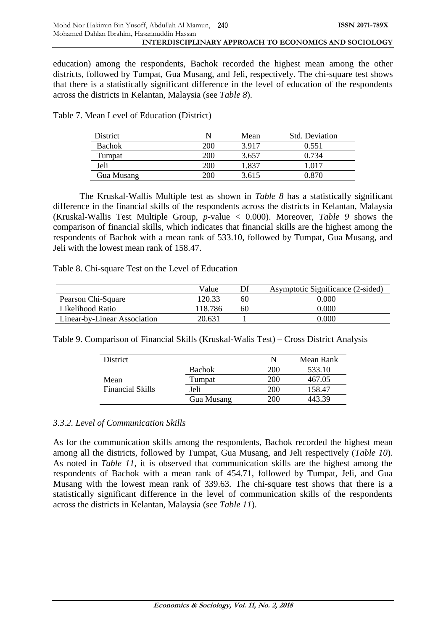education) among the respondents, Bachok recorded the highest mean among the other districts, followed by Tumpat, Gua Musang, and Jeli, respectively. The chi-square test shows that there is a statistically significant difference in the level of education of the respondents across the districts in Kelantan, Malaysia (see *Table 8*).

| District      |            | Mean  | <b>Std. Deviation</b> |
|---------------|------------|-------|-----------------------|
| <b>Bachok</b> | <b>200</b> | 3917  | 0.551                 |
| Tumpat        | 200        | 3.657 | 0.734                 |
| Jeli          | 200        | .837  | l 017                 |
| Gua Musang    | 206        | 3.615 | 0 870                 |

Table 7. Mean Level of Education (District)

The Kruskal-Wallis Multiple test as shown in *Table 8* has a statistically significant difference in the financial skills of the respondents across the districts in Kelantan, Malaysia (Kruskal-Wallis Test Multiple Group, *p-*value < 0.000). Moreover, *Table 9* shows the comparison of financial skills, which indicates that financial skills are the highest among the respondents of Bachok with a mean rank of 533.10, followed by Tumpat, Gua Musang, and Jeli with the lowest mean rank of 158.47.

Table 8. Chi-square Test on the Level of Education

|                              | Value   |    | Asymptotic Significance (2-sided) |
|------------------------------|---------|----|-----------------------------------|
| Pearson Chi-Square           | 120.33  | 60 | 0.000                             |
| Likelihood Ratio             | 118.786 | 60 | 0.000                             |
| Linear-by-Linear Association | 20.631  |    | 0.000                             |

Table 9. Comparison of Financial Skills (Kruskal-Walis Test) – Cross District Analysis

| <b>District</b>         |               | N          | Mean Rank |
|-------------------------|---------------|------------|-----------|
|                         | <b>Bachok</b> | <b>200</b> | 533.10    |
| Mean                    | Tumpat        | 200        | 467.05    |
| <b>Financial Skills</b> | Jeli          | <b>200</b> | 158.47    |
|                         | Gua Musang    | 200        |           |

# *3.3.2. Level of Communication Skills*

As for the communication skills among the respondents, Bachok recorded the highest mean among all the districts, followed by Tumpat, Gua Musang, and Jeli respectively (*Table 10*). As noted in *Table 11*, it is observed that communication skills are the highest among the respondents of Bachok with a mean rank of 454.71, followed by Tumpat, Jeli, and Gua Musang with the lowest mean rank of 339.63. The chi-square test shows that there is a statistically significant difference in the level of communication skills of the respondents across the districts in Kelantan, Malaysia (see *Table 11*).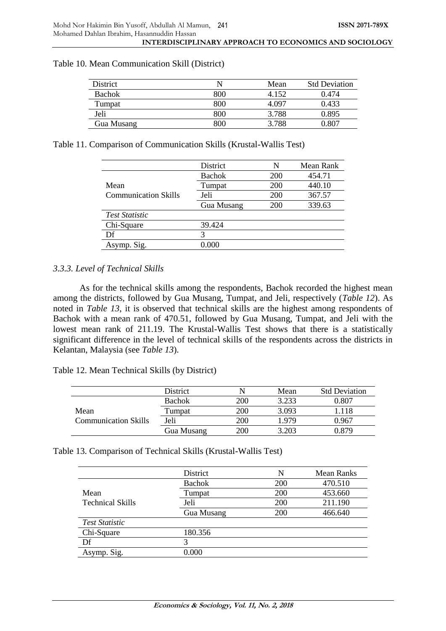| <b>District</b> |     | Mean  | <b>Std Deviation</b> |
|-----------------|-----|-------|----------------------|
| <b>Bachok</b>   | 800 | 4 152 | 0.474                |
| Tumpat          | 800 | 4 097 | 0.433                |
| Jeli            | 800 | 3.788 | 0.895                |
| Gua Musang      | 800 | 3.788 | ገ ጸበ.                |

#### Table 10. Mean Communication Skill (District)

Table 11. Comparison of Communication Skills (Krustal-Wallis Test)

|                             | District      | N   | Mean Rank |
|-----------------------------|---------------|-----|-----------|
|                             | <b>Bachok</b> | 200 | 454.71    |
| Mean                        | Tumpat        | 200 | 440.10    |
| <b>Communication Skills</b> | Jeli          | 200 | 367.57    |
|                             | Gua Musang    | 200 | 339.63    |
| <b>Test Statistic</b>       |               |     |           |
| Chi-Square                  | 39.424        |     |           |
| Df                          |               |     |           |
| Asymp. Sig.                 | 0.000         |     |           |

### *3.3.3. Level of Technical Skills*

As for the technical skills among the respondents, Bachok recorded the highest mean among the districts, followed by Gua Musang, Tumpat, and Jeli, respectively (*Table 12*). As noted in *Table 13*, it is observed that technical skills are the highest among respondents of Bachok with a mean rank of 470.51, followed by Gua Musang, Tumpat, and Jeli with the lowest mean rank of 211.19. The Krustal-Wallis Test shows that there is a statistically significant difference in the level of technical skills of the respondents across the districts in Kelantan, Malaysia (see *Table 13*).

Table 12. Mean Technical Skills (by District)

|                             | <b>District</b> |            | Mean  | <b>Std Deviation</b> |
|-----------------------------|-----------------|------------|-------|----------------------|
|                             | <b>Bachok</b>   | 200        | 3.233 | 0.807                |
| Mean                        | Tumpat          | 200        | 3.093 | 1.118                |
| <b>Communication Skills</b> | Jeli            | 200        | 1979  | 0.967                |
|                             | Gua Musang      | <b>200</b> | 3.203 | 0.879                |

| Table 13. Comparison of Technical Skills (Krustal-Wallis Test) |  |  |  |  |
|----------------------------------------------------------------|--|--|--|--|
|----------------------------------------------------------------|--|--|--|--|

|                         | District      | N   | Mean Ranks |
|-------------------------|---------------|-----|------------|
|                         | <b>Bachok</b> | 200 | 470.510    |
| Mean                    | Tumpat        | 200 | 453.660    |
| <b>Technical Skills</b> | Jeli          | 200 | 211.190    |
|                         | Gua Musang    | 200 | 466.640    |
| <b>Test Statistic</b>   |               |     |            |
| Chi-Square              | 180.356       |     |            |
| Df                      | 3             |     |            |
| Asymp. Sig.             | $0.000\,$     |     |            |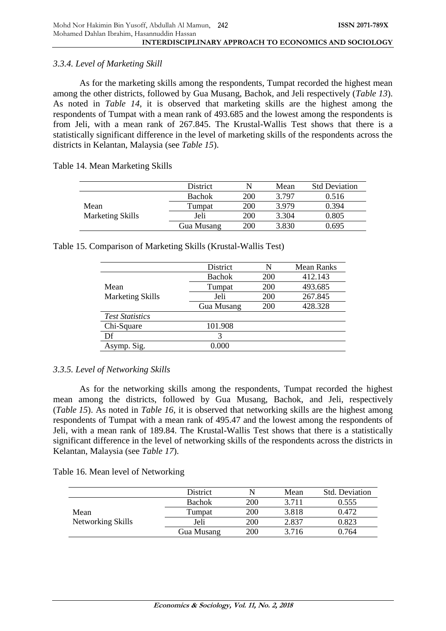## *3.3.4. Level of Marketing Skill*

As for the marketing skills among the respondents, Tumpat recorded the highest mean among the other districts, followed by Gua Musang, Bachok, and Jeli respectively (*Table 13*). As noted in *Table 14*, it is observed that marketing skills are the highest among the respondents of Tumpat with a mean rank of 493.685 and the lowest among the respondents is from Jeli, with a mean rank of 267.845. The Krustal-Wallis Test shows that there is a statistically significant difference in the level of marketing skills of the respondents across the districts in Kelantan, Malaysia (see *Table 15*).

Table 14. Mean Marketing Skills

|                                 | <b>District</b> |            | Mean  | <b>Std Deviation</b> |
|---------------------------------|-----------------|------------|-------|----------------------|
| Mean<br><b>Marketing Skills</b> | <b>Bachok</b>   | <b>200</b> | 3.797 | 0.516                |
|                                 | Tumpat          | 200        | 3979  | 0.394                |
|                                 | Jeli            | 200        | 3.304 | 0.805                |
|                                 | Gua Musang      | <b>200</b> | 3.830 | 0.695                |

Table 15. Comparison of Marketing Skills (Krustal-Wallis Test)

|                         | District          | N   | <b>Mean Ranks</b> |
|-------------------------|-------------------|-----|-------------------|
|                         | <b>Bachok</b>     | 200 | 412.143           |
| Mean                    | Tumpat            | 200 | 493.685           |
| <b>Marketing Skills</b> | Jeli              | 200 | 267.845           |
|                         | <b>Gua Musang</b> | 200 | 428.328           |
| <b>Test Statistics</b>  |                   |     |                   |
| Chi-Square              | 101.908           |     |                   |
| Df                      | 3                 |     |                   |
| Asymp. Sig.             | 0.000             |     |                   |

# *3.3.5. Level of Networking Skills*

As for the networking skills among the respondents, Tumpat recorded the highest mean among the districts, followed by Gua Musang, Bachok, and Jeli, respectively (*Table 15*). As noted in *Table 16*, it is observed that networking skills are the highest among respondents of Tumpat with a mean rank of 495.47 and the lowest among the respondents of Jeli, with a mean rank of 189.84. The Krustal-Wallis Test shows that there is a statistically significant difference in the level of networking skills of the respondents across the districts in Kelantan, Malaysia (see *Table 17*).

Table 16. Mean level of Networking

|                   | District      | N          | Mean  | <b>Std. Deviation</b> |
|-------------------|---------------|------------|-------|-----------------------|
|                   | <b>Bachok</b> | <b>200</b> | 3.711 | 0.555                 |
| Mean              | Tumpat        | 200        | 3.818 | 0.472                 |
| Networking Skills | Jeli          | <b>200</b> | 2.837 | 0.823                 |
|                   | Gua Musang    | <b>200</b> | 3.716 | 0.764                 |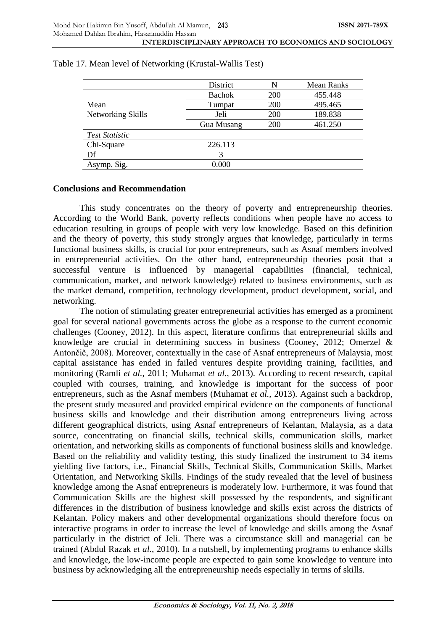|                       | District      | N          | <b>Mean Ranks</b> |
|-----------------------|---------------|------------|-------------------|
|                       | <b>Bachok</b> | 200        | 455.448           |
| Mean                  | Tumpat        | <b>200</b> | 495.465           |
| Networking Skills     | Jeli          | 200        | 189.838           |
|                       | Gua Musang    | <b>200</b> | 461.250           |
| <b>Test Statistic</b> |               |            |                   |
| Chi-Square            | 226.113       |            |                   |
| Df                    | 3             |            |                   |
| Asymp. Sig.           | 0.000         |            |                   |

#### Table 17. Mean level of Networking (Krustal-Wallis Test)

#### **Conclusions and Recommendation**

This study concentrates on the theory of poverty and entrepreneurship theories. According to the World Bank, poverty reflects conditions when people have no access to education resulting in groups of people with very low knowledge. Based on this definition and the theory of poverty, this study strongly argues that knowledge, particularly in terms functional business skills, is crucial for poor entrepreneurs, such as Asnaf members involved in entrepreneurial activities. On the other hand, entrepreneurship theories posit that a successful venture is influenced by managerial capabilities (financial, technical, communication, market, and network knowledge) related to business environments, such as the market demand, competition, technology development, product development, social, and networking.

The notion of stimulating greater entrepreneurial activities has emerged as a prominent goal for several national governments across the globe as a response to the current economic challenges (Cooney, 2012). In this aspect, literature confirms that entrepreneurial skills and knowledge are crucial in determining success in business (Cooney, 2012; Omerzel & Antončič, 2008). Moreover, contextually in the case of Asnaf entrepreneurs of Malaysia, most capital assistance has ended in failed ventures despite providing training, facilities, and monitoring (Ramli *et al.*, 2011; Muhamat *et al.*, 2013). According to recent research, capital coupled with courses, training, and knowledge is important for the success of poor entrepreneurs, such as the Asnaf members (Muhamat *et al.*, 2013). Against such a backdrop, the present study measured and provided empirical evidence on the components of functional business skills and knowledge and their distribution among entrepreneurs living across different geographical districts, using Asnaf entrepreneurs of Kelantan, Malaysia, as a data source, concentrating on financial skills, technical skills, communication skills, market orientation, and networking skills as components of functional business skills and knowledge. Based on the reliability and validity testing, this study finalized the instrument to 34 items yielding five factors, i.e., Financial Skills, Technical Skills, Communication Skills, Market Orientation, and Networking Skills. Findings of the study revealed that the level of business knowledge among the Asnaf entrepreneurs is moderately low. Furthermore, it was found that Communication Skills are the highest skill possessed by the respondents, and significant differences in the distribution of business knowledge and skills exist across the districts of Kelantan. Policy makers and other developmental organizations should therefore focus on interactive programs in order to increase the level of knowledge and skills among the Asnaf particularly in the district of Jeli. There was a circumstance skill and managerial can be trained (Abdul Razak *et al.*, 2010). In a nutshell, by implementing programs to enhance skills and knowledge, the low-income people are expected to gain some knowledge to venture into business by acknowledging all the entrepreneurship needs especially in terms of skills.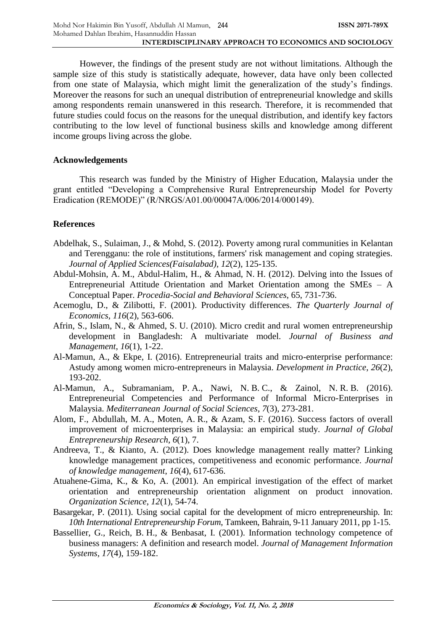However, the findings of the present study are not without limitations. Although the sample size of this study is statistically adequate, however, data have only been collected from one state of Malaysia, which might limit the generalization of the study's findings. Moreover the reasons for such an unequal distribution of entrepreneurial knowledge and skills among respondents remain unanswered in this research. Therefore, it is recommended that future studies could focus on the reasons for the unequal distribution, and identify key factors contributing to the low level of functional business skills and knowledge among different income groups living across the globe.

## **Acknowledgements**

This research was funded by the Ministry of Higher Education, Malaysia under the grant entitled "Developing a Comprehensive Rural Entrepreneurship Model for Poverty Eradication (REMODE)" (R/NRGS/A01.00/00047A/006/2014/000149).

# **References**

- Abdelhak, S., Sulaiman, J., & Mohd, S. (2012). Poverty among rural communities in Kelantan and Terengganu: the role of institutions, farmers' risk management and coping strategies. *Journal of Applied Sciences(Faisalabad)*, *12*(2), 125-135.
- Abdul-Mohsin, A. M., Abdul-Halim, H., & Ahmad, N. H. (2012). Delving into the Issues of Entrepreneurial Attitude Orientation and Market Orientation among the SMEs – A Conceptual Paper. *Procedia-Social and Behavioral Sciences*, 65, 731-736.
- Acemoglu, D., & Zilibotti, F. (2001). Productivity differences. *The Quarterly Journal of Economics*, *116*(2), 563-606.
- Afrin, S., Islam, N., & Ahmed, S. U. (2010). Micro credit and rural women entrepreneurship development in Bangladesh: A multivariate model. *Journal of Business and Management*, *16*(1), 1-22.
- Al-Mamun, A., & Ekpe, I. (2016). Entrepreneurial traits and micro-enterprise performance: Astudy among women micro-entrepreneurs in Malaysia. *Development in Practice*, *26*(2), 193-202.
- Al-Mamun, A., Subramaniam, P. A., Nawi, N. B. C., & Zainol, N. R. B. (2016). Entrepreneurial Competencies and Performance of Informal Micro-Enterprises in Malaysia. *Mediterranean Journal of Social Sciences*, *7*(3), 273-281.
- Alom, F., Abdullah, M. A., Moten, A. R., & Azam, S. F. (2016). Success factors of overall improvement of microenterprises in Malaysia: an empirical study. *Journal of Global Entrepreneurship Research*, *6*(1), 7.
- Andreeva, T., & Kianto, A. (2012). Does knowledge management really matter? Linking knowledge management practices, competitiveness and economic performance. *Journal of knowledge management*, *16*(4), 617-636.
- Atuahene-Gima, K., & Ko, A. (2001). An empirical investigation of the effect of market orientation and entrepreneurship orientation alignment on product innovation. *Organization Science*, *12*(1), 54-74.
- Basargekar, P. (2011). Using social capital for the development of micro entrepreneurship. In: *10th International Entrepreneurship Forum*, Tamkeen, Bahrain, 9-11 January 2011, pp 1-15.
- Bassellier, G., Reich, B. H., & Benbasat, I. (2001). Information technology competence of business managers: A definition and research model. *Journal of Management Information Systems*, *17*(4), 159-182.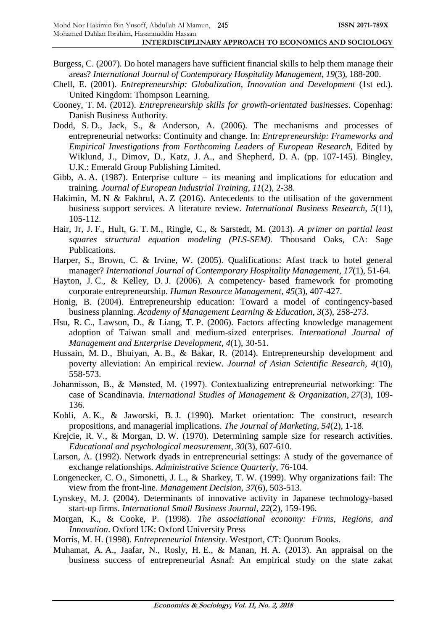- Burgess, C. (2007). Do hotel managers have sufficient financial skills to help them manage their areas? *International Journal of Contemporary Hospitality Management*, *19*(3), 188-200.
- Chell, E. (2001). *Entrepreneurship: Globalization, Innovation and Development* (1st ed.). United Kingdom: Thompson Learning.
- Cooney, T. M. (2012). *Entrepreneurship skills for growth-orientated businesses*. Copenhag: Danish Business Authority.
- Dodd, S. D., Jack, S., & Anderson, A. (2006). The mechanisms and processes of entrepreneurial networks: Continuity and change. In: *Entrepreneurship: Frameworks and Empirical Investigations from Forthcoming Leaders of European Research*, Edited by Wiklund, J., Dimov, D., Katz, J. A., and Shepherd, D. A. (pp. 107-145). Bingley, U.K.: Emerald Group Publishing Limited.
- Gibb, A. A. (1987). Enterprise culture its meaning and implications for education and training. *Journal of European Industrial Training*, *11*(2), 2-38.
- Hakimin, M. N & Fakhrul, A. Z (2016). Antecedents to the utilisation of the government business support services. A literature review. *International Business Research*, *5*(11), 105-112.
- Hair, Jr, J. F., Hult, G. T. M., Ringle, C., & Sarstedt, M. (2013). *A primer on partial least squares structural equation modeling (PLS-SEM)*. Thousand Oaks, CA: Sage Publications.
- Harper, S., Brown, C. & Irvine, W. (2005). Qualifications: Afast track to hotel general manager? *International Journal of Contemporary Hospitality Management*, *17*(1), 51-64.
- Hayton, J. C., & Kelley, D. J. (2006). A competency- based framework for promoting corporate entrepreneurship. *Human Resource Management*, *45*(3), 407-427.
- Honig, B. (2004). Entrepreneurship education: Toward a model of contingency-based business planning. *Academy of Management Learning & Education*, *3*(3), 258-273.
- Hsu, R. C., Lawson, D., & Liang, T. P. (2006). Factors affecting knowledge management adoption of Taiwan small and medium-sized enterprises. *International Journal of Management and Enterprise Development*, *4*(1), 30-51.
- Hussain, M. D., Bhuiyan, A. B., & Bakar, R. (2014). Entrepreneurship development and poverty alleviation: An empirical review. *Journal of Asian Scientific Research*, *4*(10), 558-573.
- Johannisson, B., & Mønsted, M. (1997). Contextualizing entrepreneurial networking: The case of Scandinavia. *International Studies of Management & Organization*, *27*(3), 109- 136.
- Kohli, A. K., & Jaworski, B. J. (1990). Market orientation: The construct, research propositions, and managerial implications. *The Journal of Marketing*, *54*(2), 1-18.
- Krejcie, R. V., & Morgan, D. W. (1970). Determining sample size for research activities. *Educational and psychological measurement*, *30*(3), 607-610.
- Larson, A. (1992). Network dyads in entrepreneurial settings: A study of the governance of exchange relationships. *Administrative Science Quarterly*, 76-104.
- Longenecker, C. O., Simonetti, J. L., & Sharkey, T. W. (1999). Why organizations fail: The view from the front-line. *Management Decision*, *37*(6), 503-513.
- Lynskey, M. J. (2004). Determinants of innovative activity in Japanese technology-based start-up firms. *International Small Business Journal*, *22*(2), 159-196.
- Morgan, K., & Cooke, P. (1998). *The associational economy: Firms, Regions, and Innovation*. Oxford UK: Oxford University Press
- Morris, M. H. (1998). *Entrepreneurial Intensity*. Westport, CT: Quorum Books.
- Muhamat, A. A., Jaafar, N., Rosly, H. E., & Manan, H. A. (2013). An appraisal on the business success of entrepreneurial Asnaf: An empirical study on the state zakat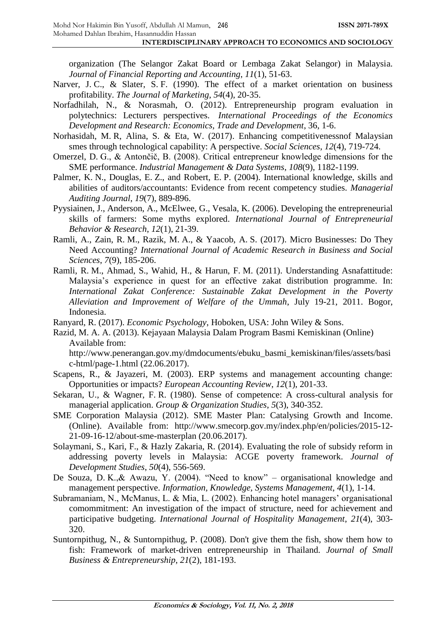organization (The Selangor Zakat Board or Lembaga Zakat Selangor) in Malaysia. *Journal of Financial Reporting and Accounting*, *11*(1), 51-63.

- Narver, J. C., & Slater, S. F. (1990). The effect of a market orientation on business profitability. *The Journal of Marketing*, *54*(4), 20-35.
- Norfadhilah, N., & Norasmah, O. (2012). Entrepreneurship program evaluation in polytechnics: Lecturers perspectives. *International Proceedings of the Economics Development and Research: Economics, Trade and Development*, 36, 1-6.
- Norhasidah, M. R, Alina, S. & Eta, W. (2017). Enhancing competitivenessnof Malaysian smes through technological capability: A perspective. *Social Sciences*, *12*(4), 719-724.
- Omerzel, D. G., & Antončič, B. (2008). Critical entrepreneur knowledge dimensions for the SME performance. *Industrial Management & Data Systems*, *108*(9), 1182-1199.
- Palmer, K. N., Douglas, E. Z., and Robert, E. P. (2004). International knowledge, skills and abilities of auditors/accountants: Evidence from recent competency studies. *Managerial Auditing Journal*, *19*(7), 889-896.
- Pyysiainen, J., Anderson, A., McElwee, G., Vesala, K. (2006). Developing the entrepreneurial skills of farmers: Some myths explored. *International Journal of Entrepreneurial Behavior & Research*, *12*(1), 21-39.
- Ramli, A., Zain, R. M., Razik, M. A., & Yaacob, A. S. (2017). Micro Businesses: Do They Need Accounting? *International Journal of Academic Research in Business and Social Sciences*, *7*(9), 185-206.
- Ramli, R. M., Ahmad, S., Wahid, H., & Harun, F. M. (2011). Understanding Asnafattitude: Malaysia's experience in quest for an effective zakat distribution programme. In: *International Zakat Conference: Sustainable Zakat Development in the Poverty Alleviation and Improvement of Welfare of the Ummah*, July 19-21, 2011. Bogor, Indonesia.
- Ranyard, R. (2017). *Economic Psychology*, Hoboken, USA: John Wiley & Sons.
- Razid, M. A. A. (2013). Kejayaan Malaysia Dalam Program Basmi Kemiskinan (Online) Available from:

http://www.penerangan.gov.my/dmdocuments/ebuku\_basmi\_kemiskinan/files/assets/basi c-html/page-1.html (22.06.2017).

- Scapens, R., & Jayazeri, M. (2003). ERP systems and management accounting change: Opportunities or impacts? *European Accounting Review*, *12*(1), 201-33.
- Sekaran, U., & Wagner, F. R. (1980). Sense of competence: A cross-cultural analysis for managerial application. *Group & Organization Studies*, *5*(3), 340-352.
- SME Corporation Malaysia (2012). SME Master Plan: Catalysing Growth and Income. (Online). Available from: http://www.smecorp.gov.my/index.php/en/policies/2015-12- 21-09-16-12/about-sme-masterplan (20.06.2017).
- Solaymani, S., Kari, F., & Hazly Zakaria, R. (2014). Evaluating the role of subsidy reform in addressing poverty levels in Malaysia: ACGE poverty framework. *Journal of Development Studies*, *50*(4), 556-569.
- De Souza, D. K.,& Awazu, Y. (2004). "Need to know" organisational knowledge and management perspective. *Information, Knowledge, Systems Management*, *4*(1), 1-14.
- Subramaniam, N., McManus, L. & Mia, L. (2002). Enhancing hotel managers' organisational comommitment: An investigation of the impact of structure, need for achievement and participative budgeting. *International Journal of Hospitality Management*, *21*(4), 303- 320.
- Suntornpithug, N., & Suntornpithug, P. (2008). Don't give them the fish, show them how to fish: Framework of market-driven entrepreneurship in Thailand. *Journal of Small Business & Entrepreneurship*, *21*(2), 181-193.